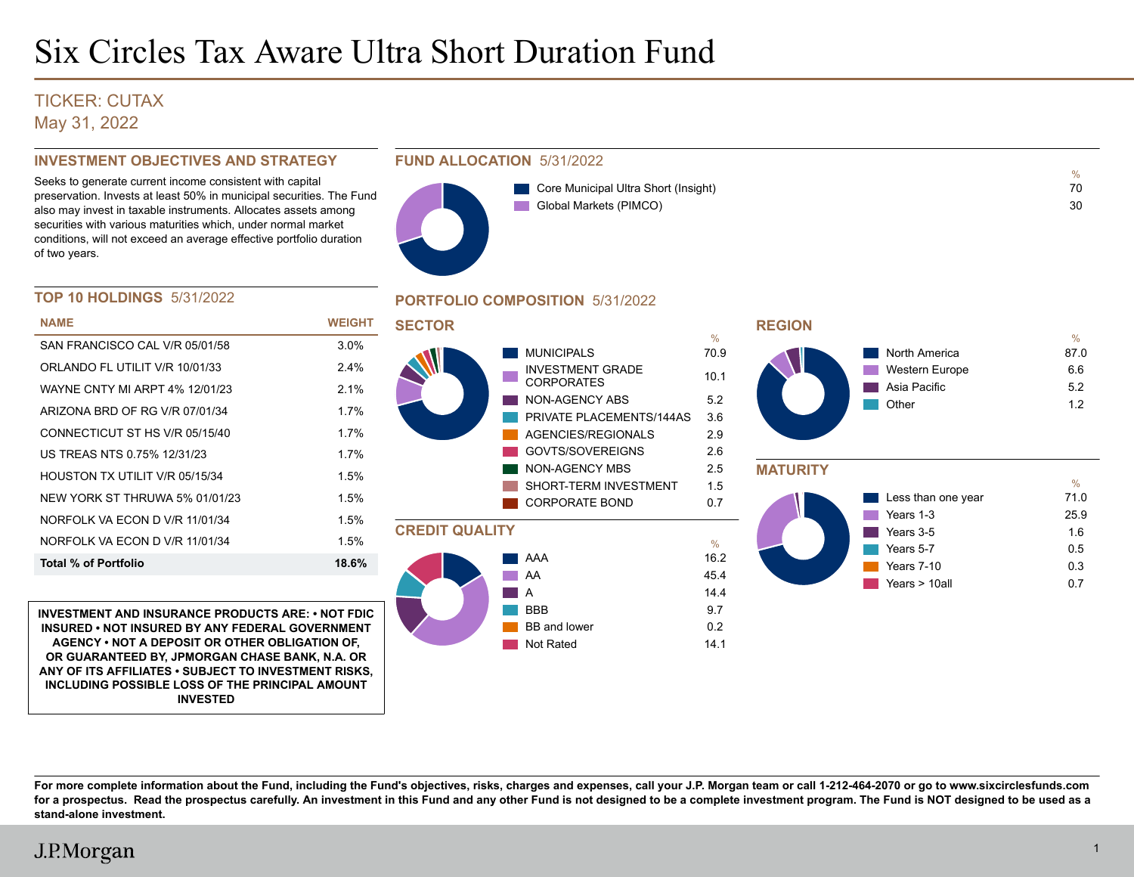## TICKER: CUTAX May 31, 2022

## **INVESTMENT OBJECTIVES AND STRATEGY**

Seeks to generate current income consistent with capital preservation. Invests at least 50% in municipal securities. The Fund also may invest in taxable instruments. Allocates assets among securities with various maturities which, under normal market conditions, will not exceed an average effective portfolio duration of two years.

## **FUND ALLOCATION** 5/31/2022



| Core Municipal Ultra Short (Insight) | 70 |
|--------------------------------------|----|
| Global Markets (PIMCO)               | 30 |

## **TOP 10 HOLDINGS** 5/31/2022

| <b>NAME</b>                    | WEIGHT  |
|--------------------------------|---------|
| SAN FRANCISCO CAL V/R 05/01/58 | $3.0\%$ |
| ORLANDO FL UTILIT V/R 10/01/33 | 24%     |
| WAYNE CNTY MI ARPT 4% 12/01/23 | 21%     |
| ARIZONA BRD OF RG V/R 07/01/34 | 1 7%    |
| CONNECTICUT ST HS V/R 05/15/40 | 1 7%    |
| US TREAS NTS 0 75% 12/31/23    | 17%     |
| HOUSTON TX UTILIT V/R 05/15/34 | 1.5%    |
| NEW YORK ST THRUWA 5% 01/01/23 | 1.5%    |
| NORFOLK VA FCON D V/R 11/01/34 | 1.5%    |
| NORFOLK VA FCON D V/R 11/01/34 | 1.5%    |
| Total % of Portfolio           | 18.6%   |

**INVESTMENT AND INSURANCE PRODUCTS ARE: • NOT FDIC INSURED • NOT INSURED BY ANY FEDERAL GOVERNMENT AGENCY • NOT A DEPOSIT OR OTHER OBLIGATION OF, OR GUARANTEED BY, JPMORGAN CHASE BANK, N.A. OR ANY OF ITS AFFILIATES • SUBJECT TO INVESTMENT RISKS, INCLUDING POSSIBLE LOSS OF THE PRINCIPAL AMOUNT INVESTED**

## **PORTFOLIO COMPOSITION** 5/31/2022







**For more complete information about the Fund, including the Fund's objectives, risks, charges and expenses, call your J.P. Morgan team or call 1-212-464-2070 or go to www.sixcirclesfunds.com for a prospectus. Read the prospectus carefully. An investment in this Fund and any other Fund is not designed to be a complete investment program. The Fund is NOT designed to be used as a stand-alone investment.**

Not Rated 14.1

# J.P.Morgan

%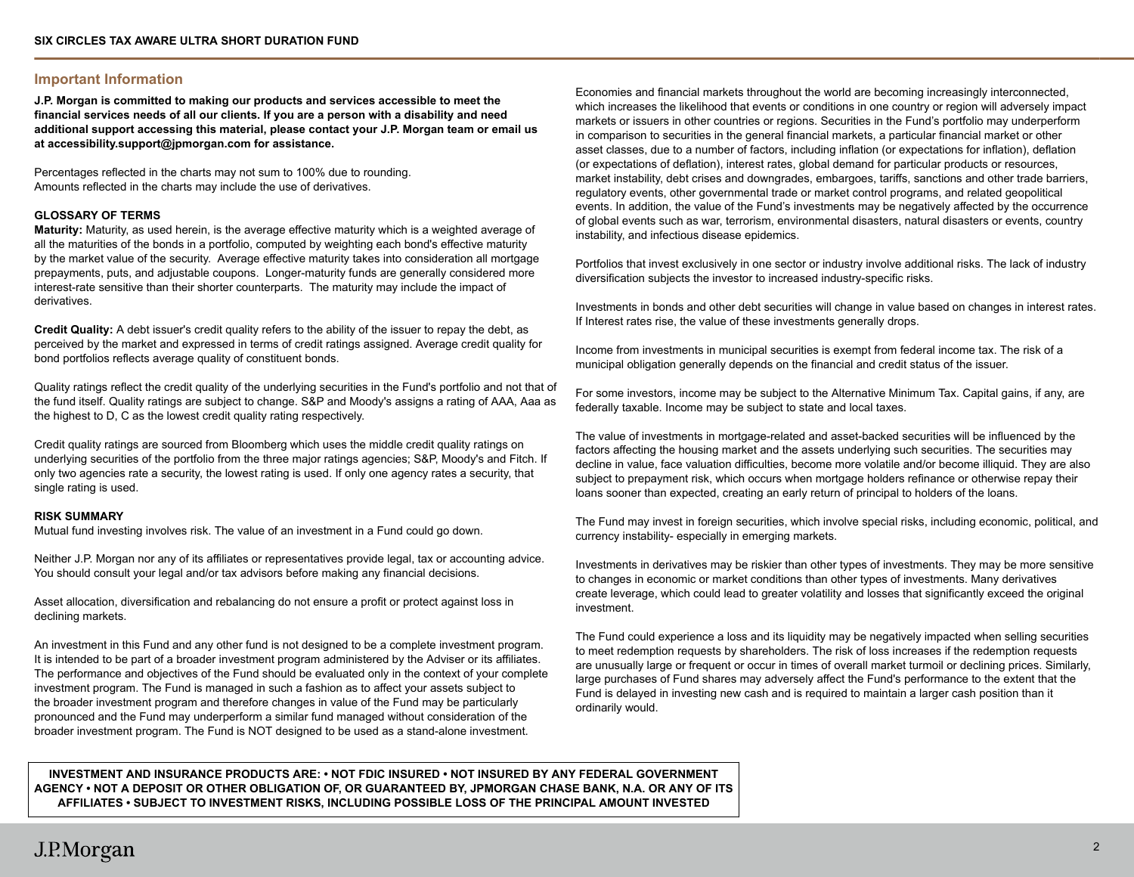### **Important Information**

**J.P. Morgan is committed to making our products and services accessible to meet the financial services needs of all our clients. If you are a person with a disability and need additional support accessing this material, please contact your J.P. Morgan team or email us at accessibility.support@jpmorgan.com for assistance.**

Percentages reflected in the charts may not sum to 100% due to rounding. Amounts reflected in the charts may include the use of derivatives.

### **GLOSSARY OF TERMS**

**Maturity:** Maturity, as used herein, is the average effective maturity which is a weighted average of all the maturities of the bonds in a portfolio, computed by weighting each bond's effective maturity by the market value of the security. Average effective maturity takes into consideration all mortgage prepayments, puts, and adjustable coupons. Longer-maturity funds are generally considered more interest-rate sensitive than their shorter counterparts. The maturity may include the impact of derivatives.

**Credit Quality:** A debt issuer's credit quality refers to the ability of the issuer to repay the debt, as perceived by the market and expressed in terms of credit ratings assigned. Average credit quality for bond portfolios reflects average quality of constituent bonds.

Quality ratings reflect the credit quality of the underlying securities in the Fund's portfolio and not that of the fund itself. Quality ratings are subject to change. S&P and Moody's assigns a rating of AAA, Aaa as the highest to D, C as the lowest credit quality rating respectively.

Credit quality ratings are sourced from Bloomberg which uses the middle credit quality ratings on underlying securities of the portfolio from the three major ratings agencies; S&P, Moody's and Fitch. If only two agencies rate a security, the lowest rating is used. If only one agency rates a security, that single rating is used.

#### **RISK SUMMARY**

Mutual fund investing involves risk. The value of an investment in a Fund could go down.

Neither J.P. Morgan nor any of its affiliates or representatives provide legal, tax or accounting advice. You should consult your legal and/or tax advisors before making any financial decisions.

Asset allocation, diversification and rebalancing do not ensure a profit or protect against loss in declining markets.

An investment in this Fund and any other fund is not designed to be a complete investment program. It is intended to be part of a broader investment program administered by the Adviser or its affiliates. The performance and objectives of the Fund should be evaluated only in the context of your complete investment program. The Fund is managed in such a fashion as to affect your assets subject to the broader investment program and therefore changes in value of the Fund may be particularly pronounced and the Fund may underperform a similar fund managed without consideration of the broader investment program. The Fund is NOT designed to be used as a stand-alone investment.

Economies and financial markets throughout the world are becoming increasingly interconnected, which increases the likelihood that events or conditions in one country or region will adversely impact markets or issuers in other countries or regions. Securities in the Fund's portfolio may underperform in comparison to securities in the general financial markets, a particular financial market or other asset classes, due to a number of factors, including inflation (or expectations for inflation), deflation (or expectations of deflation), interest rates, global demand for particular products or resources, market instability, debt crises and downgrades, embargoes, tariffs, sanctions and other trade barriers, regulatory events, other governmental trade or market control programs, and related geopolitical events. In addition, the value of the Fund's investments may be negatively affected by the occurrence of global events such as war, terrorism, environmental disasters, natural disasters or events, country instability, and infectious disease epidemics.

Portfolios that invest exclusively in one sector or industry involve additional risks. The lack of industry diversification subjects the investor to increased industry-specific risks.

Investments in bonds and other debt securities will change in value based on changes in interest rates. If Interest rates rise, the value of these investments generally drops.

Income from investments in municipal securities is exempt from federal income tax. The risk of a municipal obligation generally depends on the financial and credit status of the issuer.

For some investors, income may be subject to the Alternative Minimum Tax. Capital gains, if any, are federally taxable. Income may be subject to state and local taxes.

The value of investments in mortgage-related and asset-backed securities will be influenced by the factors affecting the housing market and the assets underlying such securities. The securities may decline in value, face valuation difficulties, become more volatile and/or become illiquid. They are also subject to prepayment risk, which occurs when mortgage holders refinance or otherwise repay their loans sooner than expected, creating an early return of principal to holders of the loans.

The Fund may invest in foreign securities, which involve special risks, including economic, political, and currency instability- especially in emerging markets.

Investments in derivatives may be riskier than other types of investments. They may be more sensitive to changes in economic or market conditions than other types of investments. Many derivatives create leverage, which could lead to greater volatility and losses that significantly exceed the original investment.

The Fund could experience a loss and its liquidity may be negatively impacted when selling securities to meet redemption requests by shareholders. The risk of loss increases if the redemption requests are unusually large or frequent or occur in times of overall market turmoil or declining prices. Similarly, large purchases of Fund shares may adversely affect the Fund's performance to the extent that the Fund is delayed in investing new cash and is required to maintain a larger cash position than it ordinarily would.

**INVESTMENT AND INSURANCE PRODUCTS ARE: • NOT FDIC INSURED • NOT INSURED BY ANY FEDERAL GOVERNMENT AGENCY • NOT A DEPOSIT OR OTHER OBLIGATION OF, OR GUARANTEED BY, JPMORGAN CHASE BANK, N.A. OR ANY OF ITS AFFILIATES • SUBJECT TO INVESTMENT RISKS, INCLUDING POSSIBLE LOSS OF THE PRINCIPAL AMOUNT INVESTED**